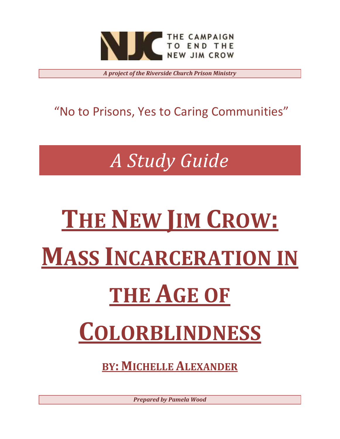

*A project of the Riverside Church Prison Ministry*

"No to Prisons, Yes to Caring Communities"

*A Study Guide*

# **THE NEW JIM CROW: MASS INCARCERATION IN THE AGE OF COLORBLINDNESS**

**BY: MICHELLE ALEXANDER**

*Prepared by Pamela Wood*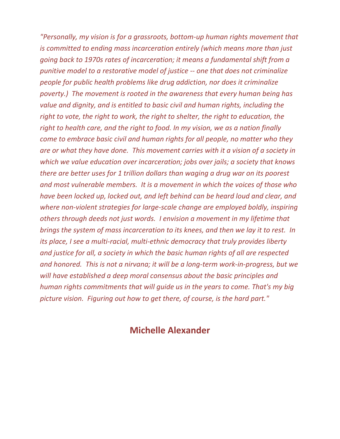*"Personally, my vision is for a grassroots, bottom-up human rights movement that is committed to ending mass incarceration entirely (which means more than just going back to 1970s rates of incarceration; it means a fundamental shift from a punitive model to a restorative model of justice -- one that does not criminalize people for public health problems like drug addiction, nor does it criminalize poverty.) The movement is rooted in the awareness that every human being has value and dignity, and is entitled to basic civil and human rights, including the right to vote, the right to work, the right to shelter, the right to education, the right to health care, and the right to food. In my vision, we as a nation finally come to embrace basic civil and human rights for all people, no matter who they are or what they have done. This movement carries with it a vision of a society in which we value education over incarceration; jobs over jails; a society that knows there are better uses for 1 trillion dollars than waging a drug war on its poorest and most vulnerable members. It is a movement in which the voices of those who have been locked up, locked out, and left behind can be heard loud and clear, and where non-violent strategies for large-scale change are employed boldly, inspiring others through deeds not just words. I envision a movement in my lifetime that brings the system of mass incarceration to its knees, and then we lay it to rest. In its place, I see a multi-racial, multi-ethnic democracy that truly provides liberty and justice for all, a society in which the basic human rights of all are respected and honored. This is not a nirvana; it will be a long-term work-in-progress, but we will have established a deep moral consensus about the basic principles and human rights commitments that will guide us in the years to come. That's my big picture vision. Figuring out how to get there, of course, is the hard part."*

# **Michelle Alexander**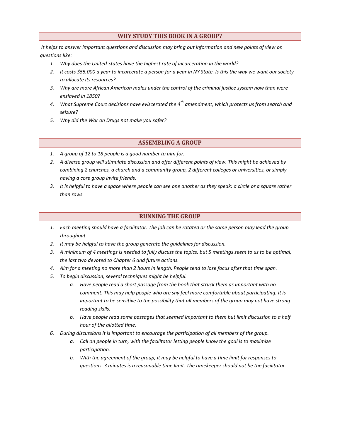# **WHY STUDY THIS BOOK IN A GROUP?**

*It helps to answer important questions and discussion may bring out information and new points of view on questions like:*

- *1. Why does the United States have the highest rate of incarceration in the world?*
- *2. It costs \$55,000 a year to incarcerate a person for a year in NY State. Is this the way we want our society to allocate its resources?*
- *3. Why are more African American males under the control of the criminal justice system now than were enslaved in 1850?*
- *4. What Supreme Court decisions have eviscerated the 4th amendment, which protects us from search and seizure?*
- *5. Why did the War on Drugs not make you safer?*

## **ASSEMBLING A GROUP**

- *1. A group of 12 to 18 people is a good number to aim for.*
- *2. A diverse group will stimulate discussion and offer different points of view. This might be achieved by combining 2 churches, a church and a community group, 2 different colleges or universities, or simply having a core group invite friends.*
- *3. It is helpful to have a space where people can see one another as they speak: a circle or a square rather than rows.*

#### **RUNNING THE GROUP**

- *1. Each meeting should have a facilitator. The job can be rotated or the same person may lead the group throughout.*
- *2. It may be helpful to have the group generate the guidelines for discussion.*
- *3. A minimum of 4 meetings is needed to fully discuss the topics, but 5 meetings seem to us to be optimal, the last two devoted to Chapter 6 and future actions.*
- *4. Aim for a meeting no more than 2 hours in length. People tend to lose focus after that time span.*
- *5. To begin discussion, several techniques might be helpful.* 
	- *a. Have people read a short passage from the book that struck them as important with no comment. This may help people who are shy feel more comfortable about participating. It is important to be sensitive to the possibility that all members of the group may not have strong reading skills.*
	- *b. Have people read some passages that seemed important to them but limit discussion to a half hour of the allotted time.*
- *6. During discussions it is important to encourage the participation of all members of the group.* 
	- *a. Call on people in turn, with the facilitator letting people know the goal is to maximize participation.*
	- *b. With the agreement of the group, it may be helpful to have a time limit for responses to questions. 3 minutes is a reasonable time limit. The timekeeper should not be the facilitator.*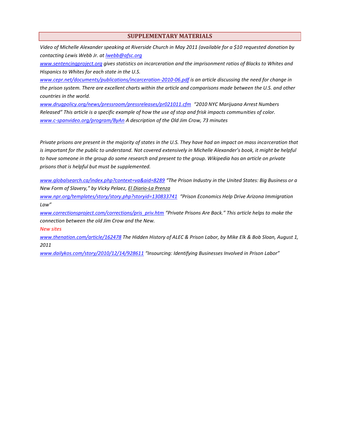#### **SUPPLEMENTARY MATERIALS**

*Video of Michelle Alexander speaking at Riverside Church in May 2011 (available for a \$10 requested donation by contacting Lewis Webb Jr. at [lwebb@afsc.org](mailto:lwebb@afsc.org)*

*[www.sentencingproject.org](http://www.sentencingproject.org/) gives statistics on incarceration and the imprisonment ratios of Blacks to Whites and Hispanics to Whites for each state in the U.S.*

*[www.cepr.net/documents/publications/incarceration-2010-06.pdf](http://www.cepr.net/documents/publications/incarceration-2010-06.pdf) is an article discussing the need for change in the prison system. There are excellent charts within the article and comparisons made between the U.S. and other countries in the world.*

*[www.drugpolicy.org/news/pressroom/pressreleases/pr021011.cfm](http://www.drugpolicy.org/news/pressroom/pressreleases/pr021011.cfm) "2010 NYC Marijuana Arrest Numbers Released" This article is a specific example of how the use of stop and frisk impacts communities of color. [www.c-spanvideo.org/program/ByAn](http://www.c-spanvideo.org/program/ByAn) A description of the Old Jim Crow, 73 minutes*

*Private prisons are present in the majority of states in the U.S. They have had an impact on mass incarceration that*  is important for the public to understand. Not covered extensively in Michelle Alexander's book, it might be helpful *to have someone in the group do some research and present to the group. Wikipedia has an article on private prisons that is helpful but must be supplemented.*

*[www.globalsearch.ca/index.php?context=va&aid=8289](http://www.globalsearch.ca/index.php?context=va&aid=8289) "The Prison Industry in the United States: Big Business or a New Form of Slavery," by Vicky Pelaez, El Diario-La Prenza*

*[www.npr.org/templates/story/story.php?storyid=130833741](http://www.npr.org/templates/story/story.php?storyid=130833741) "Prison Economics Help Drive Arizona Immigration Law"* 

*[www.correctionsproject.com/corrections/pris\\_priv.htm](http://www.correctionsproject.com/corrections/pris_priv.htm) "Private Prisons Are Back." This article helps to make the connection between the old Jim Crow and the New.*

*New sites*

*www.thenation.com/article/162478 The Hidden History of ALEC & Prison Labor, by Mike Elk & Bob Sloan, August 1, 2011*

*[www.dailykos.com/story/2010/12/14/928611](http://www.dailykos.com/story/2010/12/14/928611) "Insourcing: Identifying Businesses Involved in Prison Labor"*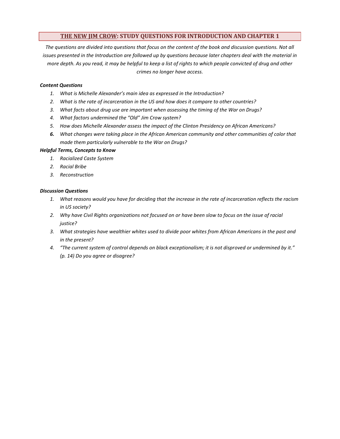# **THE NEW JIM CROW: STUDY QUESTIONS FOR INTRODUCTION AND CHAPTER 1**

The questions are divided into questions that focus on the content of the book and discussion questions. Not all *issues presented in the Introduction are followed up by questions because later chapters deal with the material in more depth. As you read, it may be helpful to keep a list of rights to which people convicted of drug and other crimes no longer have access.*

#### *Content Questions*

- *1. What is Michelle Alexander's main idea as expressed in the Introduction?*
- *2. What is the rate of incarceration in the US and how does it compare to other countries?*
- *3. What facts about drug use are important when assessing the timing of the War on Drugs?*
- *4. What factors undermined the "Old" Jim Crow system?*
- *5. How does Michelle Alexander assess the impact of the Clinton Presidency on African Americans?*
- *6. What changes were taking place in the African American community and other communities of color that made them particularly vulnerable to the War on Drugs?*

#### *Helpful Terms, Concepts to Know*

- *1. Racialized Caste System*
- *2. Racial Bribe*
- *3. Reconstruction*

- *1. What reasons would you have for deciding that the increase in the rate of incarceration reflects the racism in US society?*
- *2. Why have Civil Rights organizations not focused on or have been slow to focus on the issue of racial justice?*
- *3. What strategies have wealthier whites used to divide poor whites from African Americans in the past and in the present?*
- *4. "The current system of control depends on black exceptionalism; it is not disproved or undermined by it." (p. 14) Do you agree or disagree?*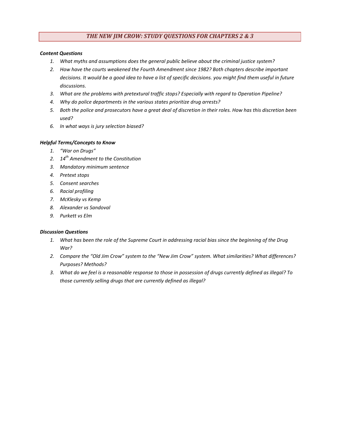# *THE NEW JIM CROW: STUDY QUESTIONS FOR CHAPTERS 2 & 3*

#### *Content Questions*

- *1. What myths and assumptions does the general public believe about the criminal justice system?*
- *2. How have the courts weakened the Fourth Amendment since 1982? Both chapters describe important decisions. It would be a good idea to have a list of specific decisions. you might find them useful in future discussions.*
- *3. What are the problems with pretextural traffic stops? Especially with regard to Operation Pipeline?*
- *4. Why do police departments in the various states prioritize drug arrests?*
- *5. Both the police and prosecutors have a great deal of discretion in their roles. How has this discretion been used?*
- *6. In what ways is jury selection biased?*

#### *Helpful Terms/Concepts to Know*

- *1. "War on Drugs"*
- *2. 14th Amendment to the Constitution*
- *3. Mandatory minimum sentence*
- *4. Pretext stops*
- *5. Consent searches*
- *6. Racial profiling*
- *7. McKlesky vs Kemp*
- *8. Alexander vs Sandoval*
- *9. Purkett vs Elm*

- *1. What has been the role of the Supreme Court in addressing racial bias since the beginning of the Drug War?*
- *2. Compare the "Old Jim Crow" system to the "New Jim Crow" system. What similarities? What differences? Purposes? Methods?*
- *3. What do we feel is a reasonable response to those in possession of drugs currently defined as illegal? To those currently selling drugs that are currently defined as illegal?*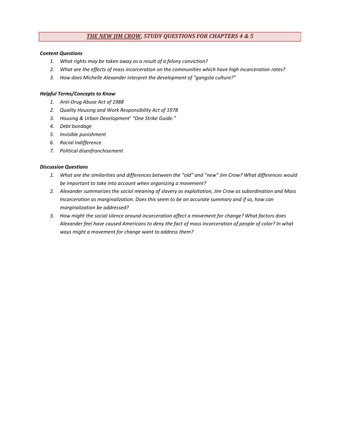# *THE NEW JIM CROW, STUDY QUESTIONS FOR CHAPTERS 4 & 5*

#### *Content Questions*

- *1. What rights may be taken away as a result of a felony conviction?*
- *2. What are the effects of mass incarceration on the communities which have high incarceration rates?*
- *3. How does Michelle Alexander interpret the development of "gangsta culture?"*

#### *Helpful Terms/Concepts to Know*

- *1. Anti-Drug Abuse Act of 1988*
- *2. Quality Housing and Work Responsibility Act of 1978*
- *3. Housing & Urban Development' "One Strike Guide."*
- *4. Debt bondage*
- *5. Invisible punishment*
- *6. Racial indifference*
- *7. Political disenfranchisement*

- *1. What are the similarities and differences between the "old" and "new" Jim Crow? What differences would be important to take into account when organizing a movement?*
- *2. Alexander summarizes the social meaning of slavery as exploitation, Jim Crow as subordination and Mass Incarceration as marginalization. Does this seem to be an accurate summary and if so, how can marginalization be addressed?*
- *3. How might the social silence around incarceration affect a movement for change? What factors does Alexander feel have caused Americans to deny the fact of mass incarceration of people of color? In what ways might a movement for change want to address them?*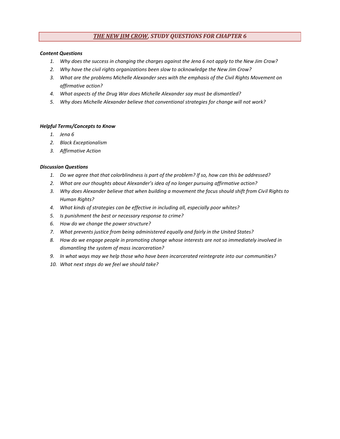# *THE NEW JIM CROW, STUDY QUESTIONS FOR CHAPTER 6*

#### *Content Questions*

- *1. Why does the success in changing the charges against the Jena 6 not apply to the New Jim Crow?*
- *2. Why have the civil rights organizations been slow to acknowledge the New Jim Crow?*
- *3. What are the problems Michelle Alexander sees with the emphasis of the Civil Rights Movement on affirmative action?*
- *4. What aspects of the Drug War does Michelle Alexander say must be dismantled?*
- *5. Why does Michelle Alexander believe that conventional strategies for change will not work?*

#### *Helpful Terms/Concepts to Know*

- *1. Jena 6*
- *2. Black Exceptionalism*
- *3. Affirmative Action*

- *1. Do we agree that that colorblindness is part of the problem? If so, how can this be addressed?*
- *2. What are our thoughts about Alexander's idea of no longer pursuing affirmative action?*
- *3. Why does Alexander believe that when building a movement the focus should shift from Civil Rights to Human Rights?*
- *4. What kinds of strategies can be effective in including all, especially poor whites?*
- *5. Is punishment the best or necessary response to crime?*
- *6. How do we change the power structure?*
- *7. What prevents justice from being administered equally and fairly in the United States?*
- *8. How do we engage people in promoting change whose interests are not so immediately involved in dismantling the system of mass incarceration?*
- *9. In what ways may we help those who have been incarcerated reintegrate into our communities?*
- *10. What next steps do we feel we should take?*